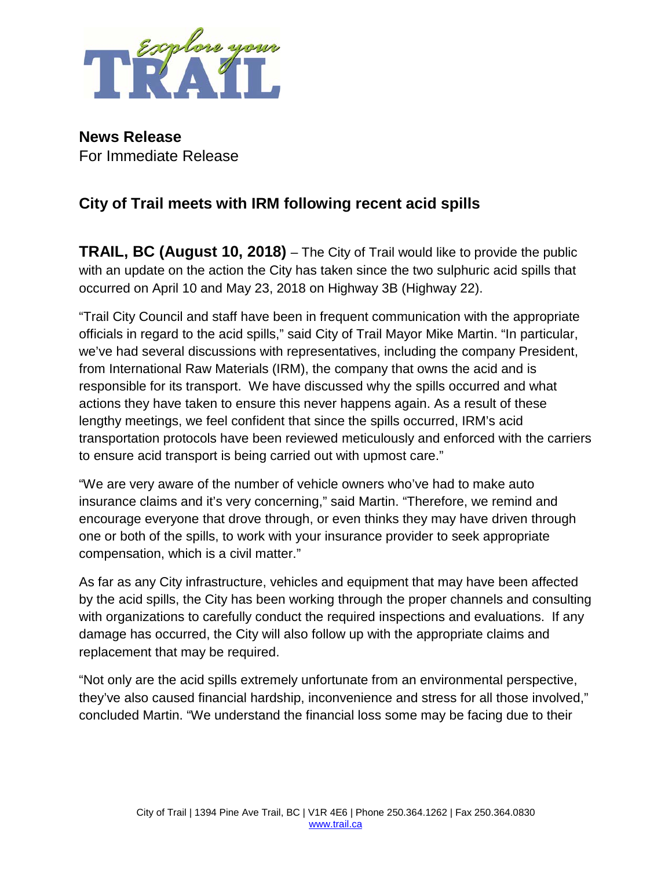

**News Release** For Immediate Release

## **City of Trail meets with IRM following recent acid spills**

**TRAIL, BC (August 10, 2018)** – The City of Trail would like to provide the public with an update on the action the City has taken since the two sulphuric acid spills that occurred on April 10 and May 23, 2018 on Highway 3B (Highway 22).

"Trail City Council and staff have been in frequent communication with the appropriate officials in regard to the acid spills," said City of Trail Mayor Mike Martin. "In particular, we've had several discussions with representatives, including the company President, from International Raw Materials (IRM), the company that owns the acid and is responsible for its transport. We have discussed why the spills occurred and what actions they have taken to ensure this never happens again. As a result of these lengthy meetings, we feel confident that since the spills occurred, IRM's acid transportation protocols have been reviewed meticulously and enforced with the carriers to ensure acid transport is being carried out with upmost care."

"We are very aware of the number of vehicle owners who've had to make auto insurance claims and it's very concerning," said Martin. "Therefore, we remind and encourage everyone that drove through, or even thinks they may have driven through one or both of the spills, to work with your insurance provider to seek appropriate compensation, which is a civil matter."

As far as any City infrastructure, vehicles and equipment that may have been affected by the acid spills, the City has been working through the proper channels and consulting with organizations to carefully conduct the required inspections and evaluations. If any damage has occurred, the City will also follow up with the appropriate claims and replacement that may be required.

"Not only are the acid spills extremely unfortunate from an environmental perspective, they've also caused financial hardship, inconvenience and stress for all those involved," concluded Martin. "We understand the financial loss some may be facing due to their